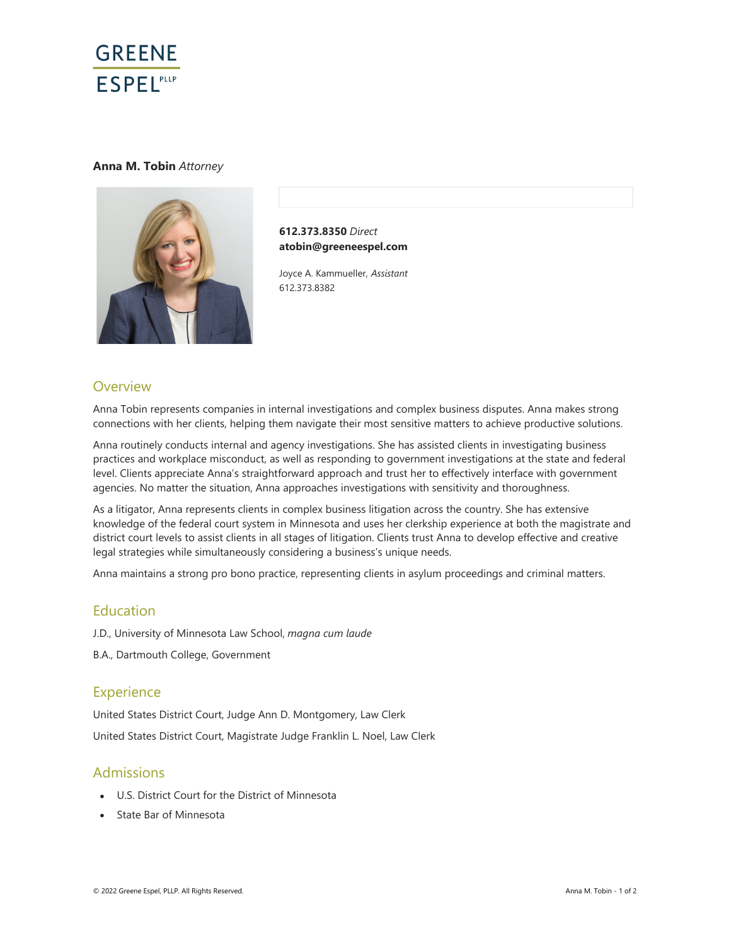

#### **Anna M. Tobin** *Attorney*



**612.373.8350** *Direct* **atobin@greeneespel.com**

Joyce A. Kammueller, *Assistant* 612.373.8382

## **Overview**

Anna Tobin represents companies in internal investigations and complex business disputes. Anna makes strong connections with her clients, helping them navigate their most sensitive matters to achieve productive solutions.

Anna routinely conducts internal and agency investigations. She has assisted clients in investigating business practices and workplace misconduct, as well as responding to government investigations at the state and federal level. Clients appreciate Anna's straightforward approach and trust her to effectively interface with government agencies. No matter the situation, Anna approaches investigations with sensitivity and thoroughness.

As a litigator, Anna represents clients in complex business litigation across the country. She has extensive knowledge of the federal court system in Minnesota and uses her clerkship experience at both the magistrate and district court levels to assist clients in all stages of litigation. Clients trust Anna to develop effective and creative legal strategies while simultaneously considering a business's unique needs.

Anna maintains a strong pro bono practice, representing clients in asylum proceedings and criminal matters.

# Education

J.D., University of Minnesota Law School, *magna cum laude*

B.A., Dartmouth College, Government

## **Experience**

United States District Court, Judge Ann D. Montgomery, Law Clerk United States District Court, Magistrate Judge Franklin L. Noel, Law Clerk

## Admissions

- U.S. District Court for the District of Minnesota
- State Bar of Minnesota  $\bullet$